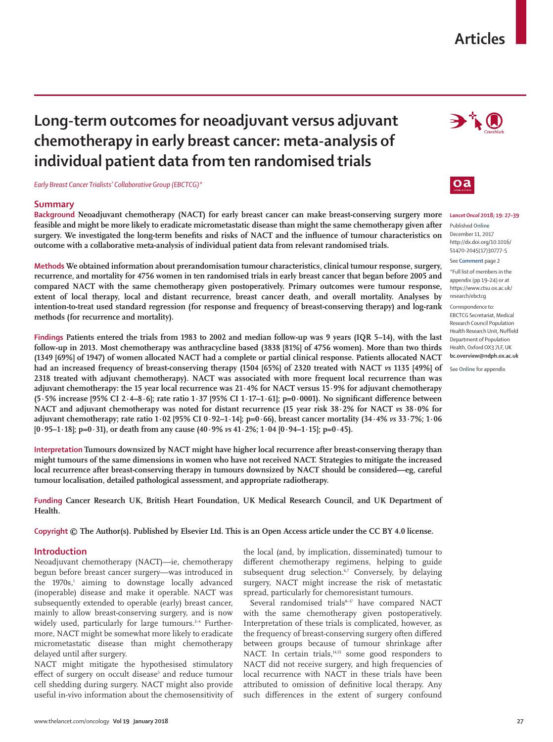#### www.thelancet.com/oncology **Vol 19 January 2018 27**

# **Long-term outcomes for neoadjuvant versus adjuvant chemotherapy in early breast cancer: meta-analysis of individual patient data from ten randomised trials**

*Early Breast Cancer Trialists' Collaborative Group (EBCTCG)\**

# **Summary**

**Background Neoadjuvant chemotherapy (NACT) for early breast cancer can make breast-conserving surgery more feasible and might be more likely to eradicate micrometastatic disease than might the same chemotherapy given after surgery. We investigated the long-term benefits and risks of NACT and the influence of tumour characteristics on outcome with a collaborative meta-analysis of individual patient data from relevant randomised trials.**

**Methods We obtained information about prerandomisation tumour characteristics, clinical tumour response, surgery, recurrence, and mortality for 4756 women in ten randomised trials in early breast cancer that began before 2005 and compared NACT with the same chemotherapy given postoperatively. Primary outcomes were tumour response, extent of local therapy, local and distant recurrence, breast cancer death, and overall mortality. Analyses by intention-to-treat used standard regression (for response and frequency of breast-conserving therapy) and log-rank methods (for recurrence and mortality).**

**Findings Patients entered the trials from 1983 to 2002 and median follow-up was 9 years (IQR 5–14), with the last follow-up in 2013. Most chemotherapy was anthracycline based (3838 [81%] of 4756 women). More than two thirds (1349 [69%] of 1947) of women allocated NACT had a complete or partial clinical response. Patients allocated NACT had an increased frequency of breast-conserving therapy (1504 [65%] of 2320 treated with NACT** *vs* **1135 [49%] of 2318 treated with adjuvant chemotherapy). NACT was associated with more frequent local recurrence than was adjuvant chemotherapy: the 15 year local recurrence was 21·4% for NACT versus 15·9% for adjuvant chemotherapy (5·5% increase [95% CI 2·4–8·6]; rate ratio 1·37 [95% CI 1·17–1·61]; p=0·0001). No significant difference between NACT and adjuvant chemotherapy was noted for distant recurrence (15 year risk 38·2% for NACT** *vs* **38·0% for adjuvant chemotherapy; rate ratio 1·02 [95% CI 0·92–1·14]; p=0·66), breast cancer mortality (34·4%** *vs* **33·7%; 1·06 [0·95–1·18]; p=0·31), or death from any cause (40·9%** *vs* **41·2%; 1·04 [0·94–1·15]; p=0·45).**

**Interpretation Tumours downsized by NACT might have higher local recurrence after breast-conserving therapy than might tumours of the same dimensions in women who have not received NACT. Strategies to mitigate the increased local recurrence after breast-conserving therapy in tumours downsized by NACT should be considered—eg, careful tumour localisation, detailed pathological assessment, and appropriate radiotherapy.**

**Funding Cancer Research UK, British Heart Foundation, UK Medical Research Council, and UK Department of Health.**

**Copyright © The Author(s). Published by Elsevier Ltd. This is an Open Access article under the CC BY 4.0 license.**

# **Introduction**

Neoadjuvant chemotherapy (NACT)—ie, chemotherapy begun before breast cancer surgery—was introduced in the 1970s,<sup>1</sup> aiming to downstage locally advanced (inoperable) disease and make it operable. NACT was subsequently extended to operable (early) breast cancer, mainly to allow breast-conserving surgery, and is now widely used, particularly for large tumours.<sup>2-4</sup> Furthermore, NACT might be somewhat more likely to eradicate micrometastatic disease than might chemotherapy delayed until after surgery.

NACT might mitigate the hypothesised stimulatory effect of surgery on occult disease<sup>5</sup> and reduce tumour cell shedding during surgery. NACT might also provide useful in-vivo information about the chemosensitivity of

the local (and, by implication, disseminated) tumour to different chemotherapy regimens, helping to guide subsequent drug selection.<sup>6,7</sup> Conversely, by delaying surgery, NACT might increase the risk of metastatic spread, particularly for chemoresistant tumours.

Several randomised trials<sup>8-17</sup> have compared NACT with the same chemotherapy given postoperatively. Interpretation of these trials is complicated, however, as the frequency of breast-conserving surgery often differed between groups because of tumour shrinkage after NACT. In certain trials,<sup>14,15</sup> some good responders to NACT did not receive surgery, and high frequencies of local recurrence with NACT in these trials have been attributed to omission of definitive local therapy. Any such differences in the extent of surgery confound



# *Lancet Oncol* **2018; 19: 27–39**

Published **Online** December 11, 2017 http://dx.doi.org/10.1016/ S1470-2045(17)30777-5

See **Comment** page 2

\*Full list of members in the appendix (pp 19–24) or at https://www.ctsu.ox.ac.uk/ research/ebctcg

Correspondence to: EBCTCG Secretariat, Medical Research Council Population Health Research Unit, Nuffield Department of Population Health, Oxford OX3 7LF, UK **bc.overview@ndph.ox.ac.uk**

See **Online** for appendix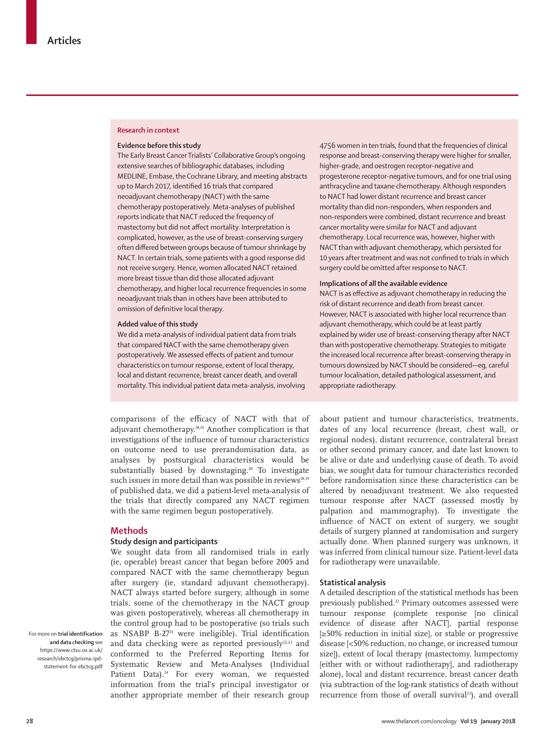# **Research in context**

## **Evidence before this study**

The Early Breast Cancer Trialists' Collaborative Group's ongoing extensive searches of bibliographic databases, including MEDLINE, Embase, the Cochrane Library, and meeting abstracts up to March 2017, identified 16 trials that compared neoadjuvant chemotherapy (NACT) with the same chemotherapy postoperatively. Meta-analyses of published reports indicate that NACT reduced the frequency of mastectomy but did not affect mortality. Interpretation is complicated, however, as the use of breast-conserving surgery often differed between groups because of tumour shrinkage by NACT. In certain trials, some patients with a good response did not receive surgery. Hence, women allocated NACT retained more breast tissue than did those allocated adjuvant chemotherapy, and higher local recurrence frequencies in some neoadjuvant trials than in others have been attributed to omission of definitive local therapy.

## **Added value of this study**

We did a meta-analysis of individual patient data from trials that compared NACT with the same chemotherapy given postoperatively. We assessed effects of patient and tumour characteristics on tumour response, extent of local therapy, local and distant recurrence, breast cancer death, and overall mortality. This individual patient data meta-analysis, involving

comparisons of the efficacy of NACT with that of adjuvant chemotherapy.18,19 Another complication is that investigations of the influence of tumour characteristics on outcome need to use prerandomisation data, as analyses by postsurgical characteristics would be substantially biased by downstaging.<sup>20</sup> To investigate such issues in more detail than was possible in reviews<sup>18,19</sup> of published data, we did a patient-level meta-analysis of the trials that directly compared any NACT regimen with the same regimen begun postoperatively.

# **Methods**

# **Study design and participants**

We sought data from all randomised trials in early (ie, operable) breast cancer that began before 2005 and compared NACT with the same chemotherapy begun after surgery (ie, standard adjuvant chemotherapy). NACT always started before surgery, although in some trials, some of the chemotherapy in the NACT group was given postoperatively, whereas all chemotherapy in the control group had to be postoperative (so trials such as NSABP B-27<sup>21</sup> were ineligible). [Trial identification](https://www.ctsu.ox.ac.uk/research/ebctcg/prisma-ipd-statement-for-ebctcg.pdf) [and data checking](https://www.ctsu.ox.ac.uk/research/ebctcg/prisma-ipd-statement-for-ebctcg.pdf) were as reported previously $22,23$  and conformed to the Preferred Reporting Items for Systematic Review and Meta-Analyses (Individual Patient Data).<sup>24</sup> For every woman, we requested information from the trial's principal investigator or another appropriate member of their research group 4756 women in ten trials, found that the frequencies of clinical response and breast-conserving therapy were higher for smaller, higher-grade, and oestrogen receptor-negative and progesterone receptor-negative tumours, and for one trial using anthracycline and taxane chemotherapy. Although responders to NACT had lower distant recurrence and breast cancer mortality than did non-responders, when responders and non-responders were combined, distant recurrence and breast cancer mortality were similar for NACT and adjuvant chemotherapy. Local recurrence was, however, higher with NACT than with adjuvant chemotherapy, which persisted for 10 years after treatment and was not confined to trials in which surgery could be omitted after response to NACT.

## **Implications of all the available evidence**

NACT is as effective as adjuvant chemotherapy in reducing the risk of distant recurrence and death from breast cancer. However, NACT is associated with higher local recurrence than adjuvant chemotherapy, which could be at least partly explained by wider use of breast-conserving therapy after NACT than with postoperative chemotherapy. Strategies to mitigate the increased local recurrence after breast-conserving therapy in tumours downsized by NACT should be considered—eg, careful tumour localisation, detailed pathological assessment, and appropriate radiotherapy.

about patient and tumour characteristics, treatments, dates of any local recurrence (breast, chest wall, or regional nodes), distant recurrence, contralateral breast or other second primary cancer, and date last known to be alive or date and underlying cause of death. To avoid bias, we sought data for tumour characteristics recorded before randomisation since these characteristics can be altered by neoadjuvant treatment. We also requested tumour response after NACT (assessed mostly by palpation and mammography). To investigate the influence of NACT on extent of surgery, we sought details of surgery planned at randomisation and surgery actually done. When planned surgery was unknown, it was inferred from clinical tumour size. Patient-level data for radiotherapy were unavailable.

# **Statistical analysis**

A detailed description of the statistical methods has been previously published.<sup>22</sup> Primary outcomes assessed were tumour response (complete response [no clinical evidence of disease after NACT], partial response [≥50% reduction in initial size], or stable or progressive disease [<50% reduction, no change, or increased tumour size]), extent of local therapy (mastectomy, lumpectomy [either with or without radiotherapy], and radiotherapy alone), local and distant recurrence, breast cancer death (via subtraction of the log-rank statistics of death without recurrence from those of overall survival<sup>23</sup>), and overall

**28** www.thelancet.com/oncology **Vol 19 January 2018**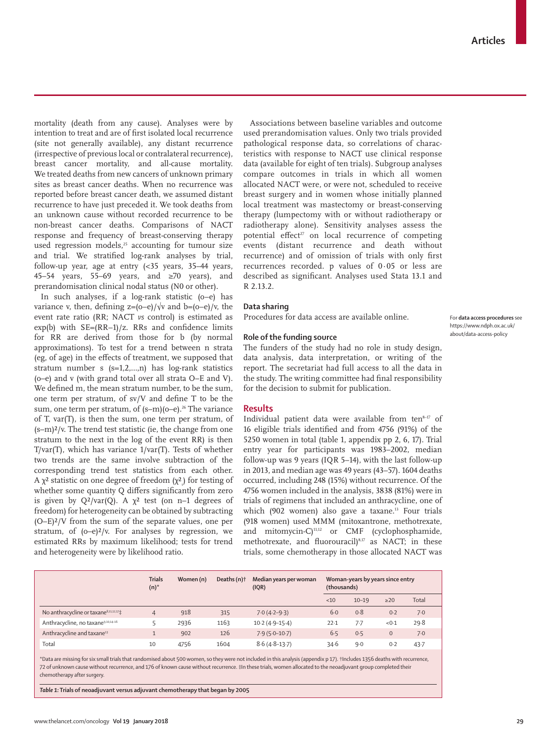mortality (death from any cause). Analyses were by intention to treat and are of first isolated local recurrence (site not generally available), any distant recurrence (irrespective of previous local or contralateral recurrence), breast cancer mortality, and all-cause mortality. We treated deaths from new cancers of unknown primary sites as breast cancer deaths. When no recurrence was reported before breast cancer death, we assumed distant recurrence to have just preceded it. We took deaths from an unknown cause without recorded recurrence to be non-breast cancer deaths. Comparisons of NACT response and frequency of breast-conserving therapy used regression models, $25$  accounting for tumour size and trial. We stratified log-rank analyses by trial, follow-up year, age at entry (<35 years, 35–44 years, 45–54 years, 55–69 years, and ≥70 years), and prerandomisation clinical nodal status (N0 or other).

In such analyses, if a log-rank statistic (o−e) has variance v, then, defining  $z=(o-e)/\sqrt{v}$  and  $b=(o-e)/v$ , the event rate ratio (RR; NACT *vs* control) is estimated as exp(b) with SE=(RR−1)/z. RRs and confidence limits for RR are derived from those for b (by normal approximations). To test for a trend between n strata (eg, of age) in the effects of treatment, we supposed that stratum number s (s=1,2,…,n) has log-rank statistics (o–e) and v (with grand total over all strata O–E and V). We defined m, the mean stratum number, to be the sum, one term per stratum, of sv/V and define T to be the sum, one term per stratum, of  $(s-m)(o-e)$ .<sup>26</sup> The variance of T, var(T), is then the sum, one term per stratum, of  $(s-m)^2/v$ . The trend test statistic (ie, the change from one stratum to the next in the log of the event RR) is then T/var(T), which has variance 1/var(T). Tests of whether two trends are the same involve subtraction of the corresponding trend test statistics from each other. A  $\chi^2$  statistic on one degree of freedom ( $\chi^2$ <sub>ı</sub>) for testing of whether some quantity Q differs significantly from zero is given by  $Q^2$ /var(Q). A  $\chi^2$  test (on n–1 degrees of freedom) for heterogeneity can be obtained by subtracting  $(O-E)^2/V$  from the sum of the separate values, one per stratum, of  $(o-e)^2/v$ . For analyses by regression, we estimated RRs by maximum likelihood; tests for trend and heterogeneity were by likelihood ratio.

Associations between baseline variables and outcome used prerandomisation values. Only two trials provided pathological response data, so correlations of characteristics with response to NACT use clinical response data (available for eight of ten trials). Subgroup analyses compare outcomes in trials in which all women allocated NACT were, or were not, scheduled to receive breast surgery and in women whose initially planned local treatment was mastectomy or breast-conserving therapy (lumpectomy with or without radiotherapy or radiotherapy alone). Sensitivity analyses assess the potential effect<sup>27</sup> on local recurrence of competing events (distant recurrence and death without recurrence) and of omission of trials with only first recurrences recorded. p values of 0·05 or less are described as significant. Analyses used Stata 13.1 and R 2.13.2

## **Data sharing**

[Procedures for data access](https://www.ndph.ox.ac.uk/about/data-access-policy) are available online.

# **Role of the funding source**

The funders of the study had no role in study design, data analysis, data interpretation, or writing of the report. The secretariat had full access to all the data in the study. The writing committee had final responsibility for the decision to submit for publication.

# **Results**

Individual patient data were available from ten $s$ -17 of 16 eligible trials identified and from 4756 (91%) of the 5250 women in total (table 1, appendix pp 2, 6, 17). Trial entry year for participants was 1983–2002, median follow-up was 9 years (IQR 5–14), with the last follow-up in 2013, and median age was 49 years (43–57). 1604 deaths occurred, including 248 (15%) without recurrence. Of the 4756 women included in the analysis, 3838 (81%) were in trials of regimens that included an anthracycline, one of which (902 women) also gave a taxane.<sup>13</sup> Four trials (918 women) used MMM (mitoxantrone, methotrexate, and mitomycin-C $)^{11,12}$  or CMF (cyclophosphamide, methotrexate, and fluorouracil)<sup>8,17</sup> as NACT; in these trials, some chemotherapy in those allocated NACT was

|                                                    | <b>Trials</b><br>$(n)^*$ | Women (n) | Deaths $(n)$ <sup>+</sup> | Median years per woman<br>(IQR) | Woman-years by years since entry<br>(thousands) |           |              |       |
|----------------------------------------------------|--------------------------|-----------|---------------------------|---------------------------------|-------------------------------------------------|-----------|--------------|-------|
|                                                    |                          |           |                           |                                 | <10                                             | $10 - 19$ | $\geq$ 20    | Total |
| No anthracycline or taxane <sup>8,11,12,17</sup> ‡ | $\overline{4}$           | 918       | 315                       | $7.0(4.2-9.3)$                  | $6 - 0$                                         | 0.8       | 0.2          | 7.0   |
| Anthracycline, no taxane <sup>9,10,14-16</sup>     |                          | 2936      | 1163                      | $10.2(4.9-15.4)$                | 22.1                                            | $7 - 7$   | < 0.1        | 29.8  |
| Anthracycline and taxane <sup>13</sup>             |                          | 902       | 126                       | $7.9(5.0-10.7)$                 | 6.5                                             | 0.5       | $\mathbf{0}$ | 7.0   |
| Total                                              | 10                       | 4756      | 1604                      | $8.6(4.8-13.7)$                 | 34.6                                            | $9-0$     | 0.2          | 43.7  |

\*Data are missing for six small trials that randomised about 500 women, so they were not included in this analysis (appendix p 17). †Includes 1356 deaths with recurrence, 72 of unknown cause without recurrence, and 176 of known cause without recurrence. ‡In these trials, women allocated to the neoadjuvant group completed their chemotherapy after surgery.

*Table 1:* **Trials of neoadjuvant versus adjuvant chemotherapy that began by 2005**

For **data access procedures** see https://www.ndph.ox.ac.uk/ about/data-access-policy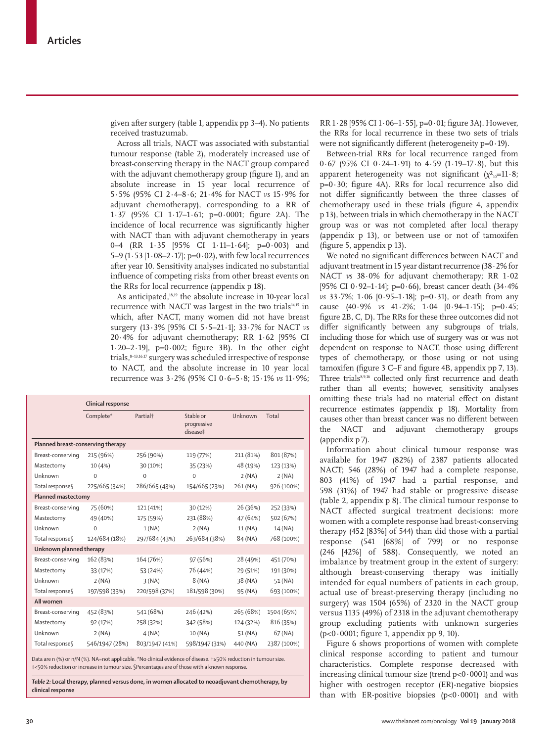given after surgery (table 1, appendix pp 3–4). No patients received trastuzumab.

Across all trials, NACT was associated with substantial tumour response (table 2), moderately increased use of breast-conserving therapy in the NACT group compared with the adjuvant chemotherapy group (figure 1), and an absolute increase in 15 year local recurrence of 5·5% (95% CI 2·4–8·6; 21·4% for NACT *vs* 15·9% for adjuvant chemotherapy), corresponding to a RR of 1·37 (95% CI 1·17–1·61; p=0·0001; figure 2A). The incidence of local recurrence was significantly higher with NACT than with adjuvant chemotherapy in years 0–4 (RR 1·35 [95% CI 1·11–1·64]; p=0·003) and 5–9 (1 $\cdot$  53 [1 $\cdot$  08–2 $\cdot$  17]; p=0 $\cdot$  02), with few local recurrences after year 10. Sensitivity analyses indicated no substantial influence of competing risks from other breast events on the RRs for local recurrence (appendix p 18).

As anticipated,<sup>18,19</sup> the absolute increase in 10-year local recurrence with NACT was largest in the two trials<sup>14,15</sup> in which, after NACT, many women did not have breast surgery (13·3% [95% CI 5·5–21·1]; 33·7% for NACT *vs* 20·4% for adjuvant chemotherapy; RR 1·62 [95% CI 1·20-2·19],  $p=0.002$ ; figure 3B). In the other eight trials, <sup>8-13,16,17</sup> surgery was scheduled irrespective of response to NACT, and the absolute increase in 10 year local recurrence was 3·2% (95% CI 0·6–5·8; 15·1% *vs* 11·9%;

|                                   | <b>Clinical response</b> |                      |                                      |           |             |
|-----------------------------------|--------------------------|----------------------|--------------------------------------|-----------|-------------|
|                                   | Complete*                | Partial <sup>+</sup> | Stable or<br>progressive<br>disease‡ | Unknown   | Total       |
| Planned breast-conserving therapy |                          |                      |                                      |           |             |
| Breast-conserving                 | 215 (96%)                | 256 (90%)            | 119 (77%)                            | 211 (81%) | 801 (87%)   |
| Mastectomy                        | 10 (4%)                  | 30 (10%)             | 35 (23%)                             | 48 (19%)  | 123 (13%)   |
| Unknown                           | $\Omega$                 | $\Omega$             | $\Omega$                             | 2(NA)     | 2(NA)       |
| Total response§                   | 225/665 (34%)            | 286/665 (43%)        | 154/665 (23%)                        | 261 (NA)  | 926 (100%)  |
| <b>Planned mastectomy</b>         |                          |                      |                                      |           |             |
| Breast-conserving                 | 75 (60%)                 | 121 (41%)            | 30 (12%)                             | 26 (36%)  | 252 (33%)   |
| Mastectomy                        | 49 (40%)                 | 175 (59%)            | 231 (88%)                            | 47 (64%)  | 502 (67%)   |
| Unknown                           | $\mathbf 0$              | 1(NA)                | 2(NA)                                | 11 (NA)   | 14 (NA)     |
| Total response§                   | 124/684 (18%)            | 297/684 (43%)        | 263/684 (38%)                        | 84 (NA)   | 768 (100%)  |
| Unknown planned therapy           |                          |                      |                                      |           |             |
| Breast-conserving                 | 162 (83%)                | 164 (76%)            | 97 (56%)                             | 28 (49%)  | 451 (70%)   |
| Mastectomy                        | 33 (17%)                 | 53 (24%)             | 76 (44%)                             | 29 (51%)  | 191 (30%)   |
| Unknown                           | 2(NA)                    | 3(NA)                | 8 (NA)                               | 38 (NA)   | 51 (NA)     |
| Total responses                   | 197/598 (33%)            | 220/598 (37%)        | 181/598 (30%)                        | 95 (NA)   | 693 (100%)  |
| All women                         |                          |                      |                                      |           |             |
| Breast-conserving                 | 452 (83%)                | 541 (68%)            | 246 (42%)                            | 265 (68%) | 1504 (65%)  |
| Mastectomy                        | 92 (17%)                 | 258 (32%)            | 342 (58%)                            | 124 (32%) | 816 (35%)   |
| Unknown                           | 2(NA)                    | 4(NA)                | 10 (NA)                              | 51 (NA)   | 67 (NA)     |
| Total response§                   | 546/1947 (28%)           | 803/1947 (41%)       | 598/1947 (31%)                       | 440 (NA)  | 2387 (100%) |

Data are n (%) or n/N (%). NA=not applicable. \*No clinical evidence of disease. †≥50% reduction in tumour size. ‡<50% reduction or increase in tumour size. §Percentages are of those with a known response.

*Table 2:* **Local therapy, planned versus done, in women allocated to neoadjuvant chemotherapy, by clinical response**

RR  $1.28$  [95% CI  $1.06-1.55$ ], p=0.01; figure 3A). However, the RRs for local recurrence in these two sets of trials were not significantly different (heterogeneity  $p=0.19$ ).

Between-trial RRs for local recurrence ranged from 0·67 (95% CI 0·24–1·91) to 4·59 (1·19–17·8), but this apparent heterogeneity was not significant  $(\chi^2_{10}=11.8;$  $p=0.30$ ; figure 4A). RRs for local recurrence also did not differ significantly between the three classes of chemotherapy used in these trials (figure 4, appendix p 13), between trials in which chemotherapy in the NACT group was or was not completed after local therapy (appendix p 13), or between use or not of tamoxifen (figure 5, appendix p 13).

We noted no significant differences between NACT and adjuvant treatment in 15 year distant recurrence (38·2% for NACT *vs* 38·0% for adjuvant chemotherapy; RR 1·02 [95% CI 0·92–1·14]; p=0·66), breast cancer death (34·4% *vs* 33·7%; 1·06 [0·95–1·18]; p=0·31), or death from any cause (40·9% *vs* 41·2%; 1·04 [0·94–1·15]; p=0·45; figure 2B, C, D). The RRs for these three outcomes did not differ significantly between any subgroups of trials, including those for which use of surgery was or was not dependent on response to NACT, those using different types of chemotherapy, or those using or not using tamoxifen (figure 3 C–F and figure 4B, appendix pp 7, 13). Three trials<sup>8,9,16</sup> collected only first recurrence and death rather than all events; however, sensitivity analyses omitting these trials had no material effect on distant recurrence estimates (appendix p 18). Mortality from causes other than breast cancer was no different between the NACT and adjuvant chemotherapy groups (appendix p 7).

Information about clinical tumour response was available for 1947 (82%) of 2387 patients allocated NACT; 546 (28%) of 1947 had a complete response, 803 (41%) of 1947 had a partial response, and 598 (31%) of 1947 had stable or progressive disease (table 2, appendix p 8). The clinical tumour response to NACT affected surgical treatment decisions: more women with a complete response had breast-conserving therapy (452 [83%] of 544) than did those with a partial response (541 [68%] of 799) or no response (246 [42%] of 588). Consequently, we noted an imbalance by treatment group in the extent of surgery: although breast-conserving therapy was initially intended for equal numbers of patients in each group, actual use of breast-preserving therapy (including no surgery) was 1504 (65%) of 2320 in the NACT group versus 1135 (49%) of 2318 in the adjuvant chemotherapy group excluding patients with unknown surgeries (p<0·0001; figure 1, appendix pp 9, 10).

Figure 6 shows proportions of women with complete clinical response according to patient and tumour characteristics. Complete response decreased with increasing clinical tumour size (trend p<0·0001) and was higher with oestrogen receptor (ER)-negative biopsies than with ER-positive biopsies  $(p<0.0001)$  and with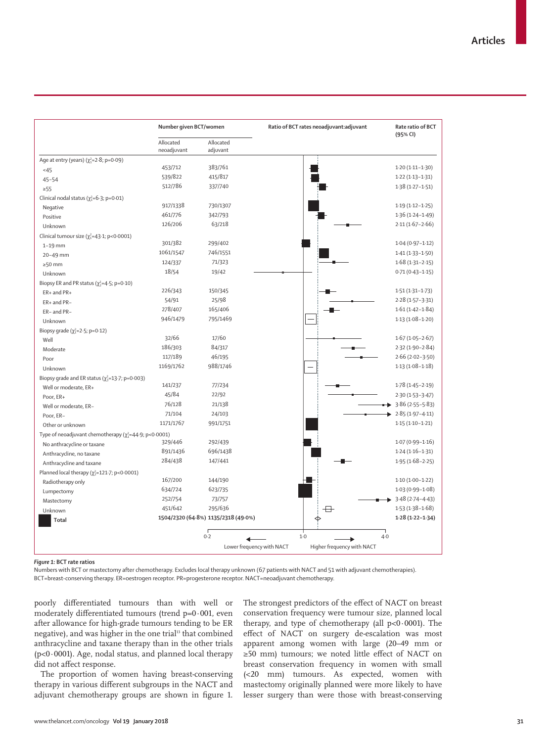|                                                                         | Number given BCT/women   |                                     | Ratio of BCT rates neoadjuvant:adjuvant | Rate ratio of BCT<br>(95% CI)          |
|-------------------------------------------------------------------------|--------------------------|-------------------------------------|-----------------------------------------|----------------------------------------|
|                                                                         | Allocated<br>neoadjuvant | Allocated<br>adjuvant               |                                         |                                        |
| Age at entry (years) $(\chi_1^2 = 2.8; p = 0.09)$                       |                          |                                     |                                         |                                        |
| $5 - 45$                                                                | 453/712                  | 383/761                             |                                         | $1.20(1.11-1.30)$                      |
| $45 - 54$                                                               | 539/822                  | 415/817                             |                                         | $1.22(1.13 - 1.31)$                    |
| $\geq 55$                                                               | 512/786                  | 337/740                             |                                         | $1.38(1.27 - 1.51)$                    |
| Clinical nodal status ( $\chi^2$ =6.3; p=0.01)                          |                          |                                     |                                         |                                        |
| Negative                                                                | 917/1338                 | 730/1307                            |                                         | $1.19(1.12 - 1.25)$                    |
| Positive                                                                | 461/776                  | 342/793                             |                                         | $1.36(1.24 - 1.49)$                    |
| Unknown                                                                 | 126/206                  | 63/218                              |                                         | $2.11(1.67 - 2.66)$                    |
| Clinical tumour size $(\chi_1^2=43.1; p<0.0001)$                        |                          |                                     |                                         |                                        |
| $1-19$ mm                                                               | 301/382                  | 299/402                             |                                         | $1.04(0.97 - 1.12)$                    |
| 20-49 mm                                                                | 1061/1547                | 746/1551                            |                                         | $1.41(1.33 - 1.50)$                    |
| $\geq$ 50 mm                                                            | 124/337                  | 71/323                              |                                         | $1.68(1.31 - 2.15)$                    |
| Unknown                                                                 | 18/54                    | 19/42                               |                                         | $0.71(0.43 - 1.15)$                    |
| Biopsy ER and PR status ( $\chi^2$ =4.5; p=0.10)                        |                          |                                     |                                         |                                        |
| ER+ and PR+                                                             | 226/343                  | 150/345                             |                                         | $1.51(1.31 - 1.73)$                    |
| ER+ and PR-                                                             | 54/91                    | 25/98                               |                                         | $2.28(1.57 - 3.31)$                    |
| ER- and PR-                                                             | 278/407                  | 165/406                             |                                         | $1.61(1.42 - 1.84)$                    |
| Unknown                                                                 | 946/1479                 | 795/1469                            |                                         | $1.13(1.08 - 1.20)$                    |
| Biopsy grade $(\chi_1^2 = 2.5; p = 0.12)$                               |                          |                                     |                                         |                                        |
| Well                                                                    | 32/66                    | 17/60                               |                                         | $1.67(1.05 - 2.67)$                    |
| Moderate                                                                | 186/303                  | 84/317                              |                                         | $2.32(1.90 - 2.84)$                    |
| Poor                                                                    | 117/189                  | 46/195                              |                                         | $2.66(2.02 - 3.50)$                    |
| Unknown                                                                 | 1169/1762                | 988/1746                            |                                         | $1.13(1.08-1.18)$                      |
| Biopsy grade and ER status ( $\chi^2$ =13.7; p=0.003)                   |                          |                                     |                                         |                                        |
| Well or moderate, ER+                                                   | 141/237                  | 77/234                              |                                         | $1.78(1.45 - 2.19)$                    |
| Poor, ER+                                                               | 45/84                    | 22/92                               |                                         | $2.30(1.53 - 3.47)$                    |
| Well or moderate, ER-                                                   | 76/128                   | 21/138                              |                                         | $3.86(2.55 - 5.83)$                    |
| Poor, ER-                                                               | 71/104                   | 24/103                              |                                         | $\blacktriangleright$ 2.85 (1.97-4.11) |
| Other or unknown                                                        | 1171/1767                | 991/1751                            |                                         | $1.15(1.10-1.21)$                      |
| Type of neoadjuvant chemotherapy ( $\chi_1^2$ =44.9; p<0.0001)          |                          |                                     |                                         |                                        |
| No anthracycline or taxane                                              | 329/446                  | 292/439                             |                                         | $1.07(0.99 - 1.16)$                    |
| Anthracycline, no taxane                                                | 891/1436                 | 696/1438                            |                                         | $1.24(1.16-1.31)$                      |
| Anthracycline and taxane                                                | 284/438                  | 147/441                             |                                         | $1.95(1.68 - 2.25)$                    |
|                                                                         |                          |                                     |                                         |                                        |
| Planned local therapy ( $\chi^2$ =121.7; p<0.0001)<br>Radiotherapy only | 167/200                  | 144/190                             |                                         | $1.10(1.00-1.22)$                      |
|                                                                         | 634/724                  | 623/735                             |                                         | $1.03(0.99 - 1.08)$                    |
| Lumpectomy<br>Mastectomy                                                | 252/754                  | 73/757                              |                                         | $3.48(2.74 - 4.43)$                    |
|                                                                         | 451/642                  | 295/636                             | Ð                                       | $1.53(1.38 - 1.68)$                    |
| Unknown                                                                 |                          | 1504/2320 (64.8%) 1135/2318 (49.0%) | ሐ                                       | $1.28(1.22 - 1.34)$                    |
| Total                                                                   |                          |                                     |                                         |                                        |
|                                                                         |                          | 0.2                                 | $1.0$                                   | $4 - 0$                                |

#### *Figure 1:* **BCT rate ratios**

Numbers with BCT or mastectomy after chemotherapy. Excludes local therapy unknown (67 patients with NACT and 51 with adjuvant chemotherapies). BCT=breast-conserving therapy. ER=oestrogen receptor. PR=progesterone receptor. NACT=neoadjuvant chemotherapy.

poorly differentiated tumours than with well or moderately differentiated tumours (trend  $p=0.001$ , even after allowance for high-grade tumours tending to be ER negative), and was higher in the one trial<sup>13</sup> that combined anthracycline and taxane therapy than in the other trials (p<0·0001). Age, nodal status, and planned local therapy did not affect response.

The proportion of women having breast-conserving therapy in various different subgroups in the NACT and adjuvant chemotherapy groups are shown in figure 1. The strongest predictors of the effect of NACT on breast conservation frequency were tumour size, planned local therapy, and type of chemotherapy (all  $p<0.0001$ ). The effect of NACT on surgery de-escalation was most apparent among women with large (20–49 mm or ≥50 mm) tumours; we noted little effect of NACT on breast conservation frequency in women with small (<20 mm) tumours. As expected, women with mastectomy originally planned were more likely to have lesser surgery than were those with breast-conserving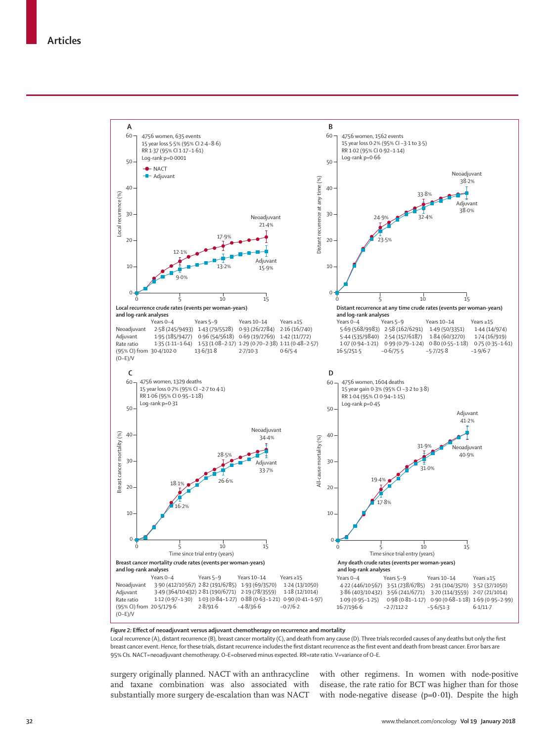

## *Figure 2:* **Effect of neoadjuvant versus adjuvant chemotherapy on recurrence and mortality**

Local recurrence (A), distant recurrence (B), breast cancer mortality (C), and death from any cause (D). Three trials recorded causes of any deaths but only the first breast cancer event. Hence, for these trials, distant recurrence includes the first distant recurrence as the first event and death from breast cancer. Error bars are 95% CIs. NACT=neoadjuvant chemotherapy. O-E=observed minus expected. RR=rate ratio. V=variance of O-E.

surgery originally planned. NACT with an anthracycline and taxane combination was also associated with substantially more surgery de-escalation than was NACT

with other regimens. In women with node-positive disease, the rate ratio for BCT was higher than for those with node-negative disease  $(p=0.01)$ . Despite the high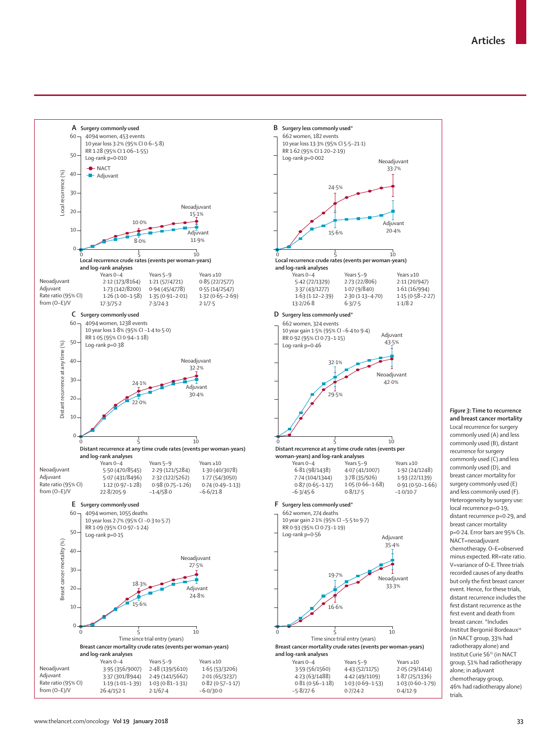



*Figure 3:* **Time to recurrence and breast cancer mortality** Local recurrence for surgery commonly used (A) and less commonly used (B), distant recurrence for surgery commonly used (C) and less commonly used (D), and breast cancer mortality for surgery commonly used (E) and less commonly used (F). Heterogeneity by surgery use: local recurrence p=0·19, distant recurrence p=0·29, and breast cancer mortality p=0·24. Error bars are 95% CIs. NACT=neoadjuvant chemotherapy. O–E=observed minus expected. RR=rate ratio. V=variance of O–E. Three trials recorded causes of any deaths but only the first breast cancer event. Hence, for these trials, distant recurrence includes the first distant recurrence as the first event and death from breast cancer. \*Includes Institut Bergonié Bordeaux<sup>14</sup> (in NACT group, 33% had radiotherapy alone) and Institut Curie S6<sup>15</sup> (in NACT group, 51% had radiotherapy alone; in adjuvant chemotherapy group, 46% had radiotherapy alone) trials.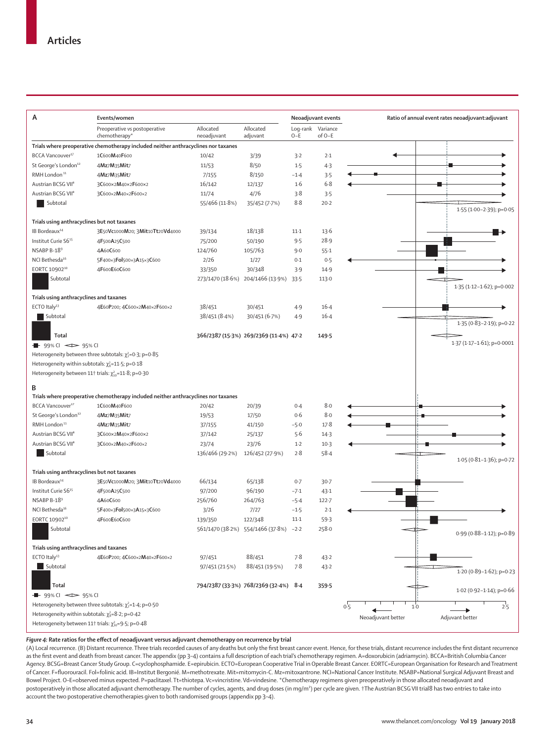| А                                                         | Events/women                                                                                                                                |                  |                                        | Neoadjuvant events                   |           |                    | Ratio of annual event rates neoadjuvant:adjuvant |  |
|-----------------------------------------------------------|---------------------------------------------------------------------------------------------------------------------------------------------|------------------|----------------------------------------|--------------------------------------|-----------|--------------------|--------------------------------------------------|--|
|                                                           | Allocated<br>Allocated<br>Preoperative vs postoperative<br>neoadjuvant<br>chemotherapy*<br>adjuvant                                         |                  |                                        | Log-rank Variance<br>$O-E$<br>of O-E |           |                    |                                                  |  |
|                                                           | Trials where preoperative chemotherapy included neither anthracyclines nor taxanes                                                          |                  |                                        |                                      |           |                    |                                                  |  |
| BCCA Vancouver <sup>17</sup>                              | 1C600M40F600                                                                                                                                | 10/42            | 3/39                                   | $3-2$                                | 2.1       |                    |                                                  |  |
| St George's London <sup>12</sup>                          | 4Mz7M35Mit7                                                                                                                                 | 11/53            | 8/50                                   | 1.5                                  | 4.3       |                    |                                                  |  |
| RMH London <sup>11</sup>                                  | 4Mz7M35Mit7                                                                                                                                 | 7/155            | 8/150                                  | $-1.4$                               | 3.5       |                    |                                                  |  |
| Austrian BCSG VII <sup>8</sup>                            | 3C600×2M40×2F600×2                                                                                                                          | 16/142           | 12/137                                 | 1·6                                  | 6.8       |                    |                                                  |  |
| Austrian BCSG VII <sup>8</sup>                            | 3C600×2M40×2F600×2                                                                                                                          | 11/74            | 4/76                                   | 3.8                                  | 3.5       |                    |                                                  |  |
| Subtotal                                                  |                                                                                                                                             | 55/466 (11.8%)   | 35/452 (7.7%)                          | 8.8                                  | $20-2$    |                    | 1.55 (1.00-2.39); p=0.05                         |  |
| Trials using anthracyclines but not taxanes               |                                                                                                                                             |                  |                                        |                                      |           |                    |                                                  |  |
| IB Bordeaux <sup>14</sup>                                 | 3E50Vc1000M20; 3Mit10Tt20Vd4000                                                                                                             | 39/134           | 18/138                                 | $11-1$                               | 13.6      |                    |                                                  |  |
| Institut Curie S6 <sup>15</sup>                           | 4F500A25C500                                                                                                                                | 75/200           | 50/190                                 | 9.5                                  | 28.9      |                    |                                                  |  |
| NSABP B-189                                               | 4A60C600                                                                                                                                    | 124/760          | 105/763                                | $9-0$                                | $55 - 1$  |                    |                                                  |  |
| NCI Bethesda <sup>16</sup>                                | 5F400×3Fol500×3A15×3C600                                                                                                                    | 2/26             | 1/27                                   | 0.1                                  | 0.5       |                    |                                                  |  |
| EORTC 10902 <sup>10</sup>                                 | 4F600E60C600                                                                                                                                | 33/350           | 30/348                                 | 3.9                                  | 14.9      |                    |                                                  |  |
| Subtotal                                                  |                                                                                                                                             | 273/1470 (18.6%) | 204/1466 (13.9%)                       | 33.5                                 | 113.0     |                    |                                                  |  |
| Trials using anthracyclines and taxanes                   |                                                                                                                                             |                  |                                        |                                      |           |                    | 1.35 (1.12-1.62); p=0.002                        |  |
| ECTO Italy <sup>13</sup>                                  | 4E60P200; 4C600×2M40×2F600×2                                                                                                                | 38/451           | 30/451                                 | 4.9                                  | $16-4$    |                    |                                                  |  |
| Subtotal                                                  |                                                                                                                                             | 38/451 (8-4%)    | 30/451 (6.7%)                          | 4.9                                  | $16-4$    |                    |                                                  |  |
| Total                                                     |                                                                                                                                             |                  |                                        |                                      |           |                    | $1.35(0.83 - 2.19)$ ; p=0.22                     |  |
| $-$ 99% CI $\iff$ 95% CI                                  |                                                                                                                                             |                  | 366/2387 (15.3%) 269/2369 (11.4%) 47.2 |                                      | 149.5     |                    | $1.37(1.17 - 1.61)$ ; p=0.0001                   |  |
| В                                                         | Heterogeneity within subtotals: $\chi^2_{\rm g}$ =11.5; p=0.18<br>Heterogeneity between 11 <sup>+</sup> trials: $\chi^2_{10}$ =11.8; p=0.30 |                  |                                        |                                      |           |                    |                                                  |  |
|                                                           | Trials where preoperative chemotherapy included neither anthracyclines nor taxanes                                                          |                  |                                        |                                      |           |                    |                                                  |  |
| BCCA Vancouver <sup>17</sup>                              | 1C600M40F600                                                                                                                                | 20/42            | 20/39                                  | 0.4                                  | 8.0       |                    |                                                  |  |
| St George's London <sup>12</sup>                          | 4Mz7M35Mit7                                                                                                                                 | 19/53            | 17/50                                  | 0.6                                  | 8.0       |                    |                                                  |  |
| RMH London <sup>11</sup>                                  | 4Mz7M35Mit7                                                                                                                                 | 37/155           | 41/150                                 | $-5.0$                               | 17.8      |                    |                                                  |  |
| Austrian BCSG VII <sup>8</sup>                            | 3C600×2M40×2F600×2                                                                                                                          | 37/142           | 25/137                                 | 5.6                                  | $14-3$    |                    |                                                  |  |
| Austrian BCSG VII <sup>8</sup>                            | 3C600×2M40×2F600×2                                                                                                                          | 23/74            | 23/76                                  | $1-2$                                | $10-3$    |                    |                                                  |  |
| Subtotal                                                  |                                                                                                                                             | 136/466 (29.2%)  | 126/452 (27.9%)                        | 2.8                                  | $58 - 4$  |                    |                                                  |  |
| Trials using anthracyclines but not taxanes               |                                                                                                                                             |                  |                                        |                                      |           |                    | 1.05 (0.81-1.36); p=0.72                         |  |
| IB Bordeaux <sup>14</sup>                                 | 3E50Vc1000M20; 3Mit10Tt20Vd4000                                                                                                             | 66/134           | 65/138                                 | 0.7                                  | $30 - 7$  |                    |                                                  |  |
| Institut Curie S6 <sup>15</sup>                           | 4F500A25C500                                                                                                                                | 97/200           | 96/190                                 | $-7.1$                               | 43.1      |                    |                                                  |  |
| NSABP B-189                                               | 4A60C600                                                                                                                                    | 256/760          | 264/763                                | $-5.4$                               | $122 - 7$ |                    |                                                  |  |
| NCI Bethesda <sup>16</sup>                                | 5F400×3Fol500×3A15×3C600                                                                                                                    | 3/26             | 7/27                                   | $-1.5$                               | 2.1       |                    |                                                  |  |
| EORTC 10902 <sup>10</sup>                                 | 4F600E60C600                                                                                                                                | 139/350          | 122/348                                | $11-1$                               | 59.3      |                    |                                                  |  |
| Subtotal                                                  |                                                                                                                                             |                  | 561/1470 (38.2%) 554/1466 (37.8%)      | $-2.2$                               | 258.0     |                    | 0.99 (0.88-1.12); p=0.89                         |  |
| Trials using anthracyclines and taxanes                   |                                                                                                                                             |                  |                                        |                                      |           |                    |                                                  |  |
| ECTO Italy <sup>13</sup>                                  | 4E60P200; 4C600×2M40×2F600×2                                                                                                                | 97/451           | 88/451                                 | 7.8                                  | 43.2      |                    |                                                  |  |
| Subtotal                                                  |                                                                                                                                             | 97/451 (21.5%)   | 88/451 (19.5%)                         | 7.8                                  | 43.2      |                    | 1.20 (0.89-1.62); p=0.23                         |  |
| Total                                                     |                                                                                                                                             |                  | 794/2387 (33.3%) 768/2369 (32.4%) 8.4  |                                      | 359.5     |                    |                                                  |  |
| +99% CI <d>95% CI</d>                                     |                                                                                                                                             |                  |                                        |                                      |           |                    | $1.02$ (0.92-1.14); p=0.66                       |  |
|                                                           | Heterogeneity between three subtotals: $\chi^2_2$ =1.4; p=0.50                                                                              |                  |                                        |                                      |           | 0.5<br>1.0         | 2.5                                              |  |
| Heterogeneity within subtotals: $\chi^2_{8}=8.2$ ; p=0.42 |                                                                                                                                             |                  |                                        |                                      |           |                    |                                                  |  |
|                                                           | Heterogeneity between 11 <sup>+</sup> trials: $\chi_{10}^2$ =9.5; p=0.48                                                                    |                  |                                        |                                      |           | Neoadjuvant better | Adjuvant better                                  |  |

*Figure 4:* **Rate ratios for the effect of neoadjuvant versus adjuvant chemotherapy on recurrence by trial**

(A) Local recurrence. (B) Distant recurrence. Three trials recorded causes of any deaths but only the first breast cancer event. Hence, for these trials, distant recurrence includes the first distant recurrence as the first event and death from breast cancer. The appendix (pp 3–4) contains a full description of each trial's chemotherapy regimen. A=doxorubicin (adriamycin). BCCA=British Columbia Cancer Agency. BCSG=Breast Cancer Study Group. C=cyclophosphamide. E=epirubicin. ECTO=European Cooperative Trial in Operable Breast Cancer. EORTC=European Organisation for Research and Treatment of Cancer. F=fluorouracil. Fol=folinic acid. IB=Institut Bergonié. M=methotrexate. Mit=mitomycin-C. Mz=mitoxantrone. NCI=National Cancer Institute. NSABP=National Surgical Adjuvant Breast and Bowel Project. O–E=observed minus expected. P=paclitaxel. Tt=thiotepa. Vc=vincristine. Vd=vindesine. \*Chemotherapy regimens given preoperatively in those allocated neoadjuvant and postoperatively in those allocated adjuvant chemotherapy. The number of cycles, agents, and drug doses (in mg/m<sup>2</sup>) per cycle are given. †The Austrian BCSG VII trial8 has two entries to take into account the two postoperative chemotherapies given to both randomised groups (appendix pp 3–4).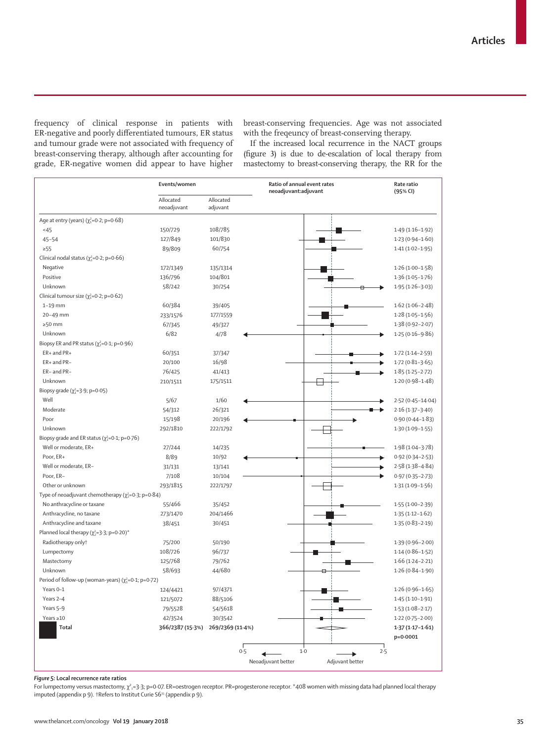frequency of clinical response in patients with ER-negative and poorly differentiated tumours, ER status and tumour grade were not associated with frequency of breast-conserving therapy, although after accounting for grade, ER-negative women did appear to have higher breast-conserving frequencies. Age was not associated with the freqeuncy of breast-conserving therapy.

If the increased local recurrence in the NACT groups (figure 3) is due to de-escalation of local therapy from mastectomy to breast-conserving therapy, the RR for the

|                                                             | Events/women             |                       | Ratio of annual event rates<br>neoadjuvant:adjuvant | Rate ratio<br>(95% CI) |  |
|-------------------------------------------------------------|--------------------------|-----------------------|-----------------------------------------------------|------------------------|--|
|                                                             | Allocated<br>neoadjuvant | Allocated<br>adjuvant |                                                     |                        |  |
| Age at entry (years) $(\chi_1^2 = 0.2; p = 0.68)$           |                          |                       |                                                     |                        |  |
| <45                                                         | 150/729                  | 108/785               |                                                     | $1.49(1.16-1.92)$      |  |
| $45 - 54$                                                   | 127/849                  | 101/830               |                                                     | $1.23(0.94 - 1.60)$    |  |
| $\geq 55$                                                   | 89/809                   | 60/754                |                                                     | $1.41(1.02 - 1.95)$    |  |
| Clinical nodal status ( $\chi^2$ =0.2; p=0.66)              |                          |                       |                                                     |                        |  |
| Negative                                                    | 172/1349                 | 135/1314              |                                                     | $1.26(1.00-1.58)$      |  |
| Positive                                                    | 136/796                  | 104/801               |                                                     | $1.36(1.05-1.76)$      |  |
| Unknown                                                     | 58/242                   | 30/254                |                                                     | $1.95(1.26 - 3.03)$    |  |
| Clinical tumour size $(\chi_1^2=0.2; p=0.62)$               |                          |                       |                                                     |                        |  |
| $1-19$ mm                                                   | 60/384                   | 39/405                |                                                     | $1.62(1.06 - 2.48)$    |  |
| 20-49 mm                                                    | 233/1576                 | 177/1559              |                                                     | $1.28(1.05 - 1.56)$    |  |
| $\geq 50$ mm                                                | 67/345                   | 49/327                |                                                     | $1.38(0.92 - 2.07)$    |  |
| Unknown                                                     | 6/82                     | 4/78                  |                                                     | $1.25(0.16 - 9.86)$    |  |
| Biopsy ER and PR status ( $\chi^2$ =0.1; p=0.96)            |                          |                       |                                                     |                        |  |
| ER+ and PR+                                                 | 60/351                   | 37/347                |                                                     | $1.72(1.14 - 2.59)$    |  |
| ER+ and PR-                                                 | 20/100                   | 16/98                 |                                                     | $1.72(0.81 - 3.65)$    |  |
| FR- and PR-                                                 |                          |                       |                                                     |                        |  |
|                                                             | 76/425                   | 41/413                |                                                     | $1.85(1.25 - 2.72)$    |  |
| Unknown                                                     | 210/1511                 | 175/1511              |                                                     | $1.20(0.98 - 1.48)$    |  |
| Biopsy grade ( $\chi^2$ =3.9; p=0.05)                       |                          |                       |                                                     |                        |  |
| Well                                                        | 5/67                     | 1/60                  |                                                     | 2.52 (0.45-14.04)      |  |
| Moderate                                                    | 54/312                   | 26/321                |                                                     | $2.16(1.37 - 3.40)$    |  |
| Poor                                                        | 15/198                   | 20/196                |                                                     | $0.90(0.44 - 1.83)$    |  |
| Unknown                                                     | 292/1810                 | 222/1792              |                                                     | $1.30(1.09 - 1.55)$    |  |
| Biopsy grade and ER status ( $\chi_1^2$ =0.1; p=0.76)       |                          |                       |                                                     |                        |  |
| Well or moderate, ER+                                       | 27/244                   | 14/235                |                                                     | $1.98(1.04 - 3.78)$    |  |
| Poor, ER+                                                   | 8/89                     | 10/92                 |                                                     | $0.92(0.34 - 2.53)$    |  |
| Well or moderate, ER-                                       | 31/131                   | 13/141                |                                                     | $2.58(1.38 - 4.84)$    |  |
| Poor, ER-                                                   | 7/108                    | 10/104                |                                                     | $0.97(0.35 - 2.73)$    |  |
| Other or unknown                                            | 293/1815                 | 222/1797              |                                                     | $1.31(1.09 - 1.56)$    |  |
| Type of neoadjuvant chemotherapy ( $\chi^2_2$ =0·3; p=0·84) |                          |                       |                                                     |                        |  |
| No anthracycline or taxane                                  | 55/466                   | 35/452                |                                                     | $1.55(1.00-2.39)$      |  |
| Anthracycline, no taxane                                    | 273/1470                 | 204/1466              |                                                     | $1.35(1.12 - 1.62)$    |  |
| Anthracycline and taxane                                    | 38/451                   | 30/451                |                                                     | $1.35(0.83 - 2.19)$    |  |
| Planned local therapy ( $\chi^2$ =3.3; p=0.20)*             |                          |                       |                                                     |                        |  |
| Radiotherapy only†                                          | 75/200                   | 50/190                |                                                     | $1.39(0.96 - 2.00)$    |  |
| Lumpectomy                                                  | 108/726                  | 96/737                |                                                     | $1.14(0.86 - 1.52)$    |  |
| Mastectomy                                                  | 125/768                  | 79/762                |                                                     | $1.66(1.24 - 2.21)$    |  |
| Unknown                                                     | 58/693                   | 44/680                | ⊟                                                   | $1.26(0.84 - 1.90)$    |  |
| Period of follow-up (woman-years) $(\chi_1^2=0.1; p=0.72)$  |                          |                       |                                                     |                        |  |
| Years 0-1                                                   | 124/4421                 | 97/4371               |                                                     | $1.26(0.96 - 1.65)$    |  |
| Years 2-4                                                   | 121/5072                 | 88/5106               |                                                     | $1.45(1.10-1.91)$      |  |
| Years 5-9                                                   | 79/5528                  | 54/5618               |                                                     | $1.53(1.08 - 2.17)$    |  |
| Years $\geq 10$                                             |                          |                       |                                                     | $1.22(0.75 - 2.00)$    |  |
| Total                                                       | 42/3524                  | 30/3542               |                                                     |                        |  |
|                                                             | 366/2387 (15.3%)         | 269/2369 (11.4%)      |                                                     | $1.37(1.17 - 1.61)$    |  |
|                                                             |                          |                       |                                                     | p=0.0001               |  |
|                                                             |                          | 0.5                   | $1-0$<br>2.5                                        |                        |  |
|                                                             |                          |                       | Neoadjuvant better<br>Adjuvant better               |                        |  |

## *Figure 5:* **Local recurrence rate ratios**

For lumpectomy versus mastectomy, χ²1=3·3; p=0·07. ER=oestrogen receptor. PR=progesterone receptor. \*408 women with missing data had planned local therapy imputed (appendix p 9). †Refers to Institut Curie S6<sup>15</sup> (appendix p 9).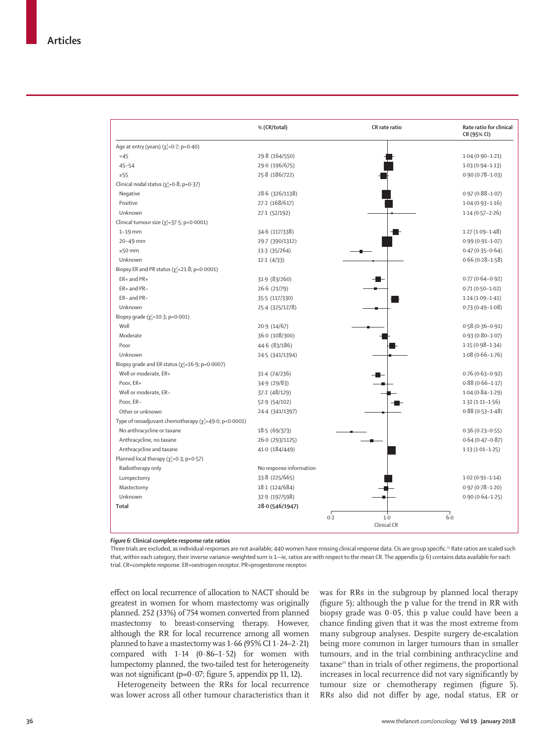|                                                              | % (CR/total)            |     | CR rate ratio        | Rate ratio for clinical<br>CR (95% CI) |
|--------------------------------------------------------------|-------------------------|-----|----------------------|----------------------------------------|
| Age at entry (years) $(\chi_1^2 = 0.7; p = 0.40)$            |                         |     |                      |                                        |
| <45                                                          | 29.8 (164/550)          |     |                      | $1.04(0.90 - 1.21)$                    |
| $45 - 54$                                                    | 29.0 (196/675)          |     |                      | $1.03(0.94 - 1.13)$                    |
| $\geq 55$                                                    | 25.8 (186/722)          |     |                      | $0.90(0.78 - 1.03)$                    |
| Clinical nodal status ( $\chi_1^2$ =0.8; p=0.37)             |                         |     |                      |                                        |
| Negative                                                     | 28.6 (326/1138)         |     |                      | $0.97(0.88 - 1.07)$                    |
| Positive                                                     | 27.2 (168/617)          |     |                      | $1.04(0.93 - 1.16)$                    |
| Unknown                                                      | 27.1 (52/192)           |     |                      | $1.14(0.57 - 2.26)$                    |
| Clinical tumour size $(\chi_1^2=37.5; p<0.0001)$             |                         |     |                      |                                        |
| $1-19$ mm                                                    | 34.6 (117/338)          |     |                      | $1.27(1.09 - 1.48)$                    |
| 20-49 mm                                                     | 29.7 (390/1312)         |     |                      | $0.99(0.91 - 1.07)$                    |
| $\geq$ 50 mm                                                 | 13.3 (35/264)           |     |                      | $0.47(0.35 - 0.64)$                    |
| Unknown                                                      | $12.1$ (4/33)           |     |                      | $0.66(0.28 - 1.58)$                    |
| Biopsy ER and PR status ( $\chi^2$ =21.8; p<0.0001)          |                         |     |                      |                                        |
| ER+ and PR+                                                  | 31.9 (83/260)           |     |                      | $0.77(0.64 - 0.92)$                    |
| ER+ and PR-                                                  | 26.6 (21/79)            |     |                      | $0.71(0.50 - 1.02)$                    |
| ER-and PR-                                                   | 35.5 (117/330)          |     |                      | $1.24(1.09-1.41)$                      |
| Unknown                                                      | 25.4 (325/1278)         |     |                      | $0.73(0.49 - 1.08)$                    |
| Biopsy grade ( $\chi^2$ =10.3; p=0.001)                      |                         |     |                      |                                        |
| Well                                                         | 20.9 (14/67)            |     |                      | $0.58(0.36 - 0.91)$                    |
| Moderate                                                     | 36.0 (108/300)          |     |                      | $0.93(0.80 - 1.07)$                    |
| Poor                                                         | 44.6 (83/186)           |     |                      | $1.15(0.98 - 1.34)$                    |
| Unknown                                                      | 24.5 (341/1394)         |     |                      | $1.08(0.66 - 1.76)$                    |
| Biopsy grade and ER status ( $\chi^2$ =16.9; p=0.0007)       |                         |     |                      |                                        |
| Well or moderate, ER+                                        | 31.4(74/236)            |     |                      | $0.76(0.63 - 0.92)$                    |
| Poor, ER+                                                    | 34.9(29/83)             |     |                      | $0.88(0.66 - 1.17)$                    |
| Well or moderate, ER-                                        | 37-2 (48/129)           |     |                      | $1.04(0.84 - 1.29)$                    |
| Poor, ER-                                                    | 52.9 (54/102)           |     |                      | $1.32(1.11 - 1.56)$                    |
| Other or unknown                                             | 24.4 (341/1397)         |     |                      | $0.88(0.53 - 1.48)$                    |
| Type of neoadjuvant chemotherapy ( $\chi^2$ =49.0; p<0.0001) |                         |     |                      |                                        |
| No anthracycline or taxane                                   | 18.5 (69/373)           |     |                      | $0.36(0.23 - 0.55)$                    |
| Anthracycline, no taxane                                     | 26.0 (293/1125)         |     |                      | $0.64(0.47 - 0.87)$                    |
| Anthracycline and taxane                                     | 41.0 (184/449)          |     |                      | $1.13(1.01 - 1.25)$                    |
| Planned local therapy $(\chi_1^2=0.3; p=0.57)$               |                         |     |                      |                                        |
| Radiotherapy only                                            | No response information |     |                      |                                        |
| Lumpectomy                                                   | 33.8 (225/665)          |     |                      | $1.02(0.91 - 1.14)$                    |
| Mastectomy                                                   | 18.1 (124/684)          |     |                      | $0.97(0.78 - 1.20)$                    |
| Unknown                                                      | 32.9 (197/598)          |     |                      | $0.90(0.64 - 1.25)$                    |
| Total                                                        | 28.0 (546/1947)         |     |                      |                                        |
|                                                              |                         | 0.2 | $1.0$<br>Clinical CR | 6.0                                    |

*Figure 6:* **Clinical complete response rate ratios**

Three trials are excluded, as individual responses are not available; 440 women have missing clinical response data. CIs are group specific.<sup>25</sup> Rate ratios are scaled such that, within each category, their inverse variance-weighted sum is 1—ie, ratios are with respect to the mean CR. The appendix (p 6) contains data available for each trial. CR=complete response. ER=oestrogen receptor. PR=progesterone receptor.

effect on local recurrence of allocation to NACT should be greatest in women for whom mastectomy was originally planned. 252 (33%) of 754 women converted from planned mastectomy to breast-conserving therapy. However, although the RR for local recurrence among all women planned to have a mastectomy was 1·66 (95% CI 1·24–2·21) compared with 1·14 (0·86–1·52) for women with lumpectomy planned, the two-tailed test for heterogeneity was not significant ( $p=0.07$ ; figure 5, appendix pp 11, 12).

Heterogeneity between the RRs for local recurrence was lower across all other tumour characteristics than it was for RRs in the subgroup by planned local therapy (figure 5); although the p value for the trend in RR with biopsy grade was 0·05, this p value could have been a chance finding given that it was the most extreme from many subgroup analyses. Despite surgery de-escalation being more common in larger tumours than in smaller tumours, and in the trial combining anthracycline and taxane<sup>13</sup> than in trials of other regimens, the proportional increases in local recurrence did not vary significantly by tumour size or chemotherapy regimen (figure 5). RRs also did not differ by age, nodal status, ER or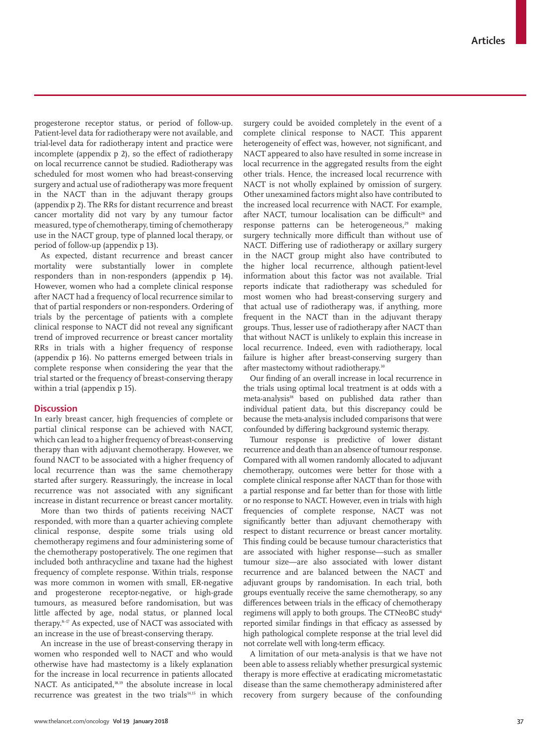progesterone receptor status, or period of follow-up. Patient-level data for radiotherapy were not available, and trial-level data for radiotherapy intent and practice were incomplete (appendix p 2), so the effect of radiotherapy on local recurrence cannot be studied. Radiotherapy was scheduled for most women who had breast-conserving surgery and actual use of radiotherapy was more frequent in the NACT than in the adjuvant therapy groups (appendix p 2). The RRs for distant recurrence and breast cancer mortality did not vary by any tumour factor measured, type of chemotherapy, timing of chemotherapy use in the NACT group, type of planned local therapy, or period of follow-up (appendix p 13).

As expected, distant recurrence and breast cancer mortality were substantially lower in complete responders than in non-responders (appendix p 14). However, women who had a complete clinical response after NACT had a frequency of local recurrence similar to that of partial responders or non-responders. Ordering of trials by the percentage of patients with a complete clinical response to NACT did not reveal any significant trend of improved recurrence or breast cancer mortality RRs in trials with a higher frequency of response (appendix p 16). No patterns emerged between trials in complete response when considering the year that the trial started or the frequency of breast-conserving therapy within a trial (appendix p 15).

# **Discussion**

In early breast cancer, high frequencies of complete or partial clinical response can be achieved with NACT, which can lead to a higher frequency of breast-conserving therapy than with adjuvant chemotherapy. However, we found NACT to be associated with a higher frequency of local recurrence than was the same chemotherapy started after surgery. Reassuringly, the increase in local recurrence was not associated with any significant increase in distant recurrence or breast cancer mortality.

More than two thirds of patients receiving NACT responded, with more than a quarter achieving complete clinical response, despite some trials using old chemotherapy regimens and four administering some of the chemotherapy postoperatively. The one regimen that included both anthracycline and taxane had the highest frequency of complete response. Within trials, response was more common in women with small, ER-negative and progesterone receptor-negative, or high-grade tumours, as measured before randomisation, but was little affected by age, nodal status, or planned local therapy.8–17 As expected, use of NACT was associated with an increase in the use of breast-conserving therapy.

An increase in the use of breast-conserving therapy in women who responded well to NACT and who would otherwise have had mastectomy is a likely explanation for the increase in local recurrence in patients allocated NACT. As anticipated,<sup>18,19</sup> the absolute increase in local recurrence was greatest in the two trials<sup>14,15</sup> in which surgery could be avoided completely in the event of a complete clinical response to NACT. This apparent heterogeneity of effect was, however, not significant, and NACT appeared to also have resulted in some increase in local recurrence in the aggregated results from the eight other trials. Hence, the increased local recurrence with NACT is not wholly explained by omission of surgery. Other unexamined factors might also have contributed to the increased local recurrence with NACT. For example, after NACT, tumour localisation can be difficult<sup>28</sup> and response patterns can be heterogeneous, $29$  making surgery technically more difficult than without use of NACT. Differing use of radiotherapy or axillary surgery in the NACT group might also have contributed to the higher local recurrence, although patient-level information about this factor was not available. Trial reports indicate that radiotherapy was scheduled for most women who had breast-conserving surgery and that actual use of radiotherapy was, if anything, more frequent in the NACT than in the adjuvant therapy groups. Thus, lesser use of radiotherapy after NACT than that without NACT is unlikely to explain this increase in local recurrence. Indeed, even with radiotherapy, local failure is higher after breast-conserving surgery than after mastectomy without radiotherapy.<sup>30</sup>

Our finding of an overall increase in local recurrence in the trials using optimal local treatment is at odds with a meta-analysis<sup>18</sup> based on published data rather than individual patient data, but this discrepancy could be because the meta-analysis included comparisons that were confounded by differing background systemic therapy.

Tumour response is predictive of lower distant recurrence and death than an absence of tumour response. Compared with all women randomly allocated to adjuvant chemotherapy, outcomes were better for those with a complete clinical response after NACT than for those with a partial response and far better than for those with little or no response to NACT. However, even in trials with high frequencies of complete response, NACT was not significantly better than adjuvant chemotherapy with respect to distant recurrence or breast cancer mortality. This finding could be because tumour characteristics that are associated with higher response—such as smaller tumour size—are also associated with lower distant recurrence and are balanced between the NACT and adjuvant groups by randomisation. In each trial, both groups eventually receive the same chemotherapy, so any differences between trials in the efficacy of chemotherapy regimens will apply to both groups. The CTNeoBC study6 reported similar findings in that efficacy as assessed by high pathological complete response at the trial level did not correlate well with long-term efficacy.

A limitation of our meta-analysis is that we have not been able to assess reliably whether presurgical systemic therapy is more effective at eradicating micrometastatic disease than the same chemotherapy administered after recovery from surgery because of the confounding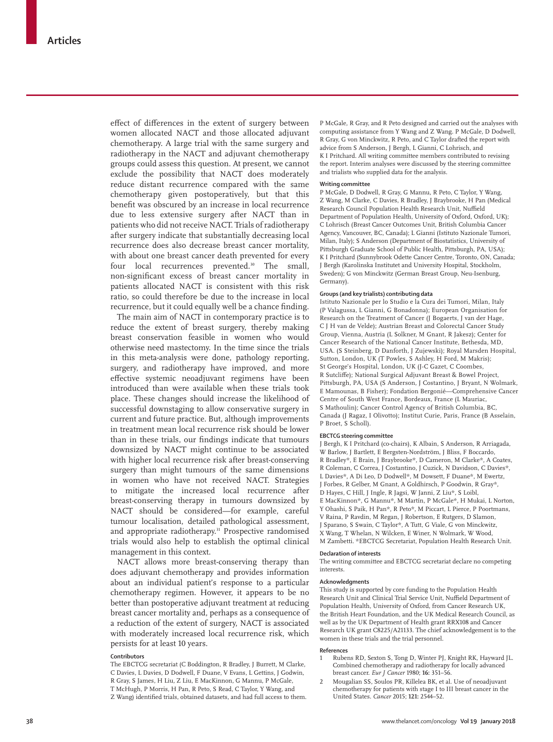effect of differences in the extent of surgery between women allocated NACT and those allocated adjuvant chemotherapy. A large trial with the same surgery and radiotherapy in the NACT and adjuvant chemotherapy groups could assess this question. At present, we cannot exclude the possibility that NACT does moderately reduce distant recurrence compared with the same chemotherapy given postoperatively, but that this benefit was obscured by an increase in local recurrence due to less extensive surgery after NACT than in patients who did not receive NACT. Trials of radiotherapy after surgery indicate that substantially decreasing local recurrence does also decrease breast cancer mortality, with about one breast cancer death prevented for every four local recurrences prevented.<sup>30</sup> The small, non-significant excess of breast cancer mortality in patients allocated NACT is consistent with this risk ratio, so could therefore be due to the increase in local recurrence, but it could equally well be a chance finding.

The main aim of NACT in contemporary practice is to reduce the extent of breast surgery, thereby making breast conservation feasible in women who would otherwise need mastectomy. In the time since the trials in this meta-analysis were done, pathology reporting, surgery, and radiotherapy have improved, and more effective systemic neoadjuvant regimens have been introduced than were available when these trials took place. These changes should increase the likelihood of successful downstaging to allow conservative surgery in current and future practice. But, although improvements in treatment mean local recurrence risk should be lower than in these trials, our findings indicate that tumours downsized by NACT might continue to be associated with higher local recurrence risk after breast-conserving surgery than might tumours of the same dimensions in women who have not received NACT. Strategies to mitigate the increased local recurrence after breast-conserving therapy in tumours downsized by NACT should be considered—for example, careful tumour localisation, detailed pathological assessment, and appropriate radiotherapy.<sup>31</sup> Prospective randomised trials would also help to establish the optimal clinical management in this context.

NACT allows more breast-conserving therapy than does adjuvant chemotherapy and provides information about an individual patient's response to a particular chemotherapy regimen. However, it appears to be no better than postoperative adjuvant treatment at reducing breast cancer mortality and, perhaps as a consequence of a reduction of the extent of surgery, NACT is associated with moderately increased local recurrence risk, which persists for at least 10 years.

### **Contributors**

The EBCTCG secretariat (C Boddington, R Bradley, J Burrett, M Clarke, C Davies, L Davies, D Dodwell, F Duane, V Evans, L Gettins, J Godwin, R Gray, S James, H Liu, Z Liu, E MacKinnon, G Mannu, P McGale, T McHugh, P Morris, H Pan, R Peto, S Read, C Taylor, Y Wang, and Z Wang) identified trials, obtained datasets, and had full access to them. P McGale, R Gray, and R Peto designed and carried out the analyses with computing assistance from Y Wang and Z Wang. P McGale, D Dodwell, R Gray, G von Minckwitz, R Peto, and C Taylor drafted the report with advice from S Anderson, J Bergh, L Gianni, C Lohrisch, and K I Pritchard. All writing committee members contributed to revising the report. Interim analyses were discussed by the steering committee and trialists who supplied data for the analysis.

#### **Writing committee**

P McGale, D Dodwell, R Gray, G Mannu, R Peto, C Taylor, Y Wang, Z Wang, M Clarke, C Davies, R Bradley, J Braybrooke, H Pan (Medical Research Council Population Health Research Unit, Nuffield Department of Population Health, University of Oxford, Oxford, UK); C Lohrisch (Breast Cancer Outcomes Unit, British Columbia Cancer Agency, Vancouver, BC, Canada); L Gianni (Istituto Nazionale Tumori, Milan, Italy); S Anderson (Department of Biostatistics, University of Pittsburgh Graduate School of Public Health, Pittsburgh, PA, USA); K I Pritchard (Sunnybrook Odette Cancer Centre, Toronto, ON, Canada; J Bergh (Karolinska Institutet and University Hospital, Stockholm, Sweden); G von Minckwitz (German Breast Group, Neu-Isenburg, Germany).

#### **Groups (and key trialists) contributing data**

Istituto Nazionale per lo Studio e la Cura dei Tumori, Milan, Italy (P Valagussa, L Gianni, G Bonadonna); European Organisation for Research on the Treatment of Cancer (J Bogaerts, J van der Hage, C J H van de Velde); Austrian Breast and Colorectal Cancer Study Group, Vienna, Austria (L Solkner, M Gnant, R Jakesz); Center for Cancer Research of the National Cancer Institute, Bethesda, MD, USA. (S Steinberg, D Danforth, J Zujewski); Royal Marsden Hospital, Sutton, London, UK (T Powles, S Ashley, H Ford, M Makris); St George's Hospital, London, UK (J-C Gazet, C Coombes, R Sutcliffe); National Surgical Adjuvant Breast & Bowel Project, Pittsburgh, PA, USA (S Anderson, J Costantino, J Bryant, N Wolmark, E Mamounas, B Fisher); Fondation Bergonié—Comprehensive Cancer Centre of South West France, Bordeaux, France (L Mauriac, S Mathoulin); Cancer Control Agency of British Columbia, BC, Canada (J Ragaz, I Olivotto); Institut Curie, Paris, France (B Asselain, P Broet, S Scholl).

# **EBCTCG steering committee**

J Bergh, K I Pritchard (co-chairs), K Albain, S Anderson, R Arriagada, W Barlow, J Bartlett, E Bergsten-Nordström, J Bliss, F Boccardo, R Bradley\*, E Brain, J Braybrooke\*, D Cameron, M Clarke\*, A Coates, R Coleman, C Correa, J Costantino, J Cuzick, N Davidson, C Davies\*, L Davies\*, A Di Leo, D Dodwell\*, M Dowsett, F Duane\*, M Ewertz, J Forbes, R Gelber, M Gnant, A Goldhirsch, P Goodwin, R Gray\*, D Hayes, C Hill, J Ingle, R Jagsi, W Janni, Z Liu\*, S Loibl, E MacKinnon\*, G Mannu\*, M Martín, P McGale\*, H Mukai, L Norton, Y Ohashi, S Paik, H Pan\*, R Peto\*, M Piccart, L Pierce, P Poortmans, V Raina, P Ravdin, M Regan, J Robertson, E Rutgers, D Slamon, J Sparano, S Swain, C Taylor\*, A Tutt, G Viale, G von Minckwitz, X Wang, T Whelan, N Wilcken, E Winer, N Wolmark, W Wood, M Zambetti. \*EBCTCG Secretariat, Population Health Research Unit.

#### **Declaration of interests**

The writing committee and EBCTCG secretariat declare no competing interests.

#### **Acknowledgments**

This study is supported by core funding to the Population Health Research Unit and Clinical Trial Service Unit, Nuffield Department of Population Health, University of Oxford, from Cancer Research UK, the British Heart Foundation, and the UK Medical Research Council, as well as by the UK Department of Health grant RRX108 and Cancer Research UK grant C8225/A21133. The chief acknowledgement is to the women in these trials and the trial personnel.

#### **References**

- 1 Rubens RD, Sexton S, Tong D, Winter PJ, Knight RK, Hayward JL. Combined chemotherapy and radiotherapy for locally advanced breast cancer. *Eur J Cancer* 1980; **16:** 351–56.
- 2 Mougalian SS, Soulos PR, Killelea BK, et al. Use of neoadjuvant chemotherapy for patients with stage I to III breast cancer in the United States. *Cancer* 2015; **121:** 2544–52.